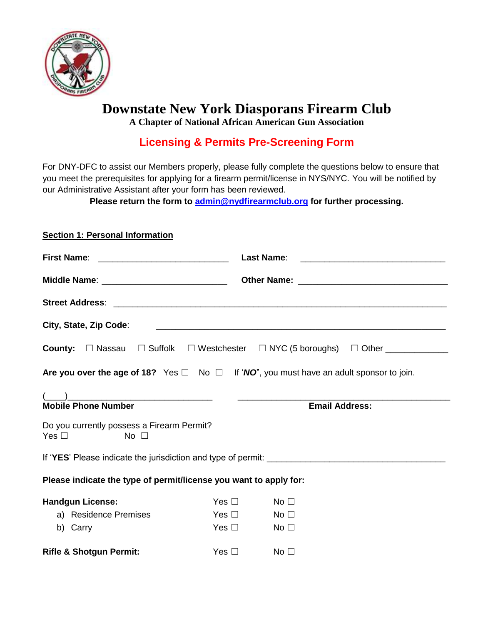

# **Downstate New York Diasporans Firearm Club**

**A Chapter of National African American Gun Association**

## **Licensing & Permits Pre-Screening Form**

For DNY-DFC to assist our Members properly, please fully complete the questions below to ensure that you meet the prerequisites for applying for a firearm permit/license in NYS/NYC. You will be notified by our Administrative Assistant after your form has been reviewed.

**Please return the form to [admin@nydfirearmclub.org](mailto:admin@nydfirearmclub.org) for further processing.**

## **Section 1: Personal Information**

| First Name: <u>____________________________</u>                             |               |                                                                                                                     |
|-----------------------------------------------------------------------------|---------------|---------------------------------------------------------------------------------------------------------------------|
|                                                                             |               |                                                                                                                     |
|                                                                             |               |                                                                                                                     |
| City, State, Zip Code:                                                      |               | <u> 1980 - Jan Barnett, fransk politiker (d. 1980)</u>                                                              |
|                                                                             |               | <b>County:</b> $\Box$ Nassau $\Box$ Suffolk $\Box$ Westchester $\Box$ NYC (5 boroughs) $\Box$ Other _______________ |
|                                                                             |               | Are you over the age of 18? Yes $\Box$ No $\Box$ If 'NO", you must have an adult sponsor to join.                   |
|                                                                             |               |                                                                                                                     |
| <b>Mobile Phone Number</b>                                                  |               | <b>Email Address:</b>                                                                                               |
| Do you currently possess a Firearm Permit?<br>Yes $\square$<br>No $\square$ |               |                                                                                                                     |
|                                                                             |               |                                                                                                                     |
| Please indicate the type of permit/license you want to apply for:           |               |                                                                                                                     |
| <b>Handgun License:</b>                                                     | Yes $\Box$    | No <sub>1</sub>                                                                                                     |
| a) Residence Premises                                                       | Yes $\Box$    | No $\square$                                                                                                        |
| b) Carry                                                                    | Yes $\Box$    | No $\square$                                                                                                        |
| <b>Rifle &amp; Shotgun Permit:</b>                                          | Yes $\square$ | No <sub>1</sub>                                                                                                     |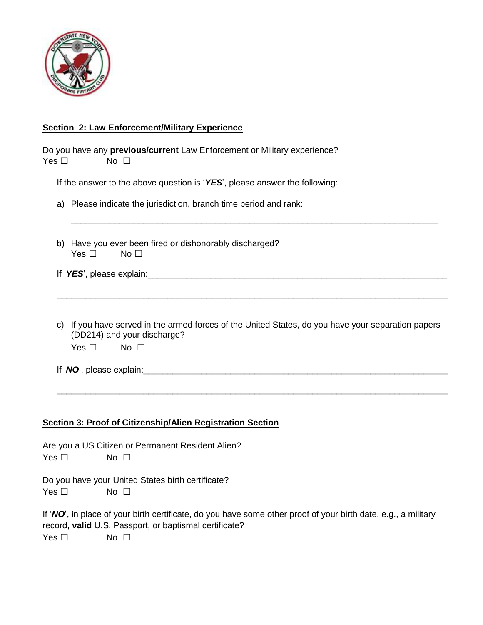

## **Section 2: Law Enforcement/Military Experience**

| Do you have any previous/current Law Enforcement or Military experience?<br>Yes $\square$<br>No $\square$                                                                |
|--------------------------------------------------------------------------------------------------------------------------------------------------------------------------|
| If the answer to the above question is ' $YES$ ', please answer the following:                                                                                           |
| a) Please indicate the jurisdiction, branch time period and rank:                                                                                                        |
| b) Have you ever been fired or dishonorably discharged?<br>Yes $\square$<br>No $\square$                                                                                 |
|                                                                                                                                                                          |
| c) If you have served in the armed forces of the United States, do you have your separation papers<br>(DD214) and your discharge?<br>Yes $\square$<br>No $\square$       |
|                                                                                                                                                                          |
| <b>Section 3: Proof of Citizenship/Alien Registration Section</b>                                                                                                        |
| Are you a US Citizen or Permanent Resident Alien?<br>Yes $\square$<br>No $\square$                                                                                       |
| Do you have your United States birth certificate?<br>Yes $\square$<br>No $\square$                                                                                       |
| If 'NO', in place of your birth certificate, do you have some other proof of your birth date, e.g., a military<br>record, valid U.S. Passport, or baptismal certificate? |

Yes □ No □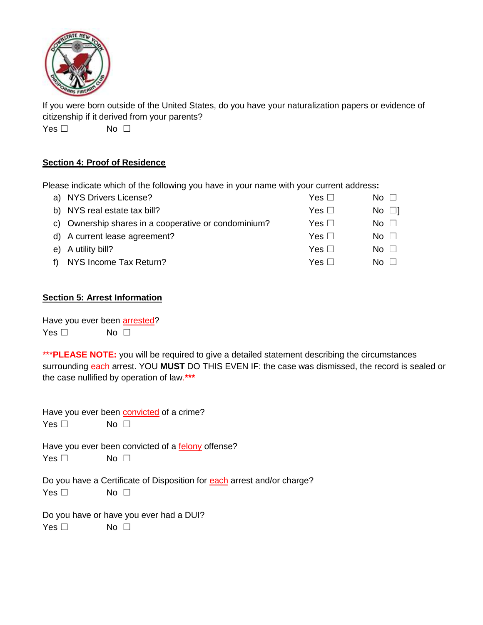

If you were born outside of the United States, do you have your naturalization papers or evidence of citizenship if it derived from your parents?

Yes □ No □

#### **Section 4: Proof of Residence**

Please indicate which of the following you have in your name with your current address**:** 

| a) NYS Drivers License?                              | Yes $\Box$ | $No \; \Box$            |
|------------------------------------------------------|------------|-------------------------|
| b) NYS real estate tax bill?                         | Yes $\Box$ | $\overline{N}$ o $\Box$ |
| c) Ownership shares in a cooperative or condominium? | Yes $\Box$ | No $\Box$               |
| d) A current lease agreement?                        | Yes $\Box$ | No $\Box$               |
| e) A utility bill?                                   | Yes $\Box$ | No $\Box$               |
| f) NYS Income Tax Return?                            | Yes $\Box$ | No L                    |

#### **Section 5: Arrest Information**

Have you ever been arrested? Yes □ No □

\*\*\***PLEASE NOTE:** you will be required to give a detailed statement describing the circumstances surrounding each arrest. YOU **MUST** DO THIS EVEN IF: the case was dismissed, the record is sealed or the case nullified by operation of law.**\*\*\***

Have you ever been convicted of a crime? Yes □ No □

Have you ever been convicted of a felony offense?

 $Yes \Box$  No  $\Box$ 

Do you have a Certificate of Disposition for each arrest and/or charge?

Yes □ No □

Do you have or have you ever had a DUI?

Yes □ No □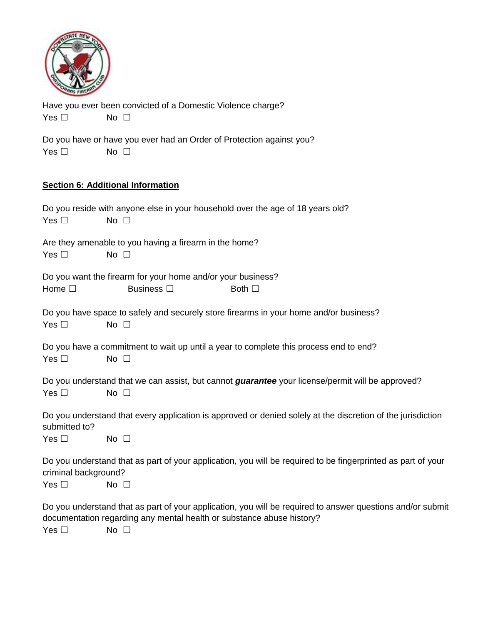

Have you ever been convicted of a Domestic Violence charge? Yes □ No □

Do you have or have you ever had an Order of Protection against you?  $Yes \Box$  No  $\Box$ 

## **Section 6: Additional Information**

| Yes $\square$                         | Do you reside with anyone else in your household over the age of 18 years old?<br>No $\square$                                                                                                      |
|---------------------------------------|-----------------------------------------------------------------------------------------------------------------------------------------------------------------------------------------------------|
| Yes $\square$                         | Are they amenable to you having a firearm in the home?<br>No $\square$                                                                                                                              |
| Home $\square$                        | Do you want the firearm for your home and/or your business?<br>Business $\square$<br>Both $\square$                                                                                                 |
| Yes $\square$                         | Do you have space to safely and securely store firearms in your home and/or business?<br>No $\square$                                                                                               |
| Yes $\square$                         | Do you have a commitment to wait up until a year to complete this process end to end?<br>No $\square$                                                                                               |
| Yes $\square$                         | Do you understand that we can assist, but cannot <i>guarantee</i> your license/permit will be approved?<br>No $\square$                                                                             |
| submitted to?<br>Yes $\square$        | Do you understand that every application is approved or denied solely at the discretion of the jurisdiction<br>No $\square$                                                                         |
| criminal background?<br>Yes $\square$ | Do you understand that as part of your application, you will be required to be fingerprinted as part of your<br>No $\square$                                                                        |
| Yes $\square$                         | Do you understand that as part of your application, you will be required to answer questions and/or submit<br>documentation regarding any mental health or substance abuse history?<br>No $\square$ |